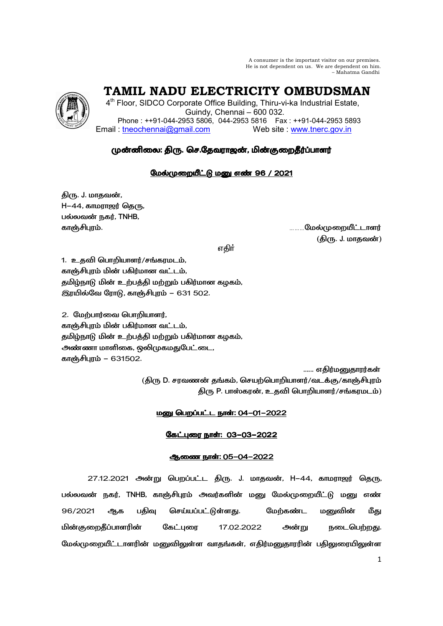A consumer is the important visitor on our premises. He is not dependent on us. We are dependent on him. – Mahatma Gandhi



 **TAMIL NADU ELECTRICITY OMBUDSMAN** 

4<sup>th</sup> Floor, SIDCO Corporate Office Building, Thiru-vi-ka Industrial Estate, Guindy, Chennai – 600 032. Phone : ++91-044-2953 5806, 044-2953 5816 Fax : ++91-044-2953 5893 Email : tneochennai@gmail.com Web site : www.tnerc.gov.in

# முன்னிலை: திரு. செ.தேவராஜன், மின்குறைதீர்ப்பாளர்

## மேல்முறையீட்டு மனு எண் 96 / 2021

திரு. J. மாதவன்,  $H-44$ , காமராஜர் தெரு, பல்லவன் நகர், TNHB,

காஞ்சிபுரம். காஞ்சிபுரம் காஞ்சிய மானம் காஞ்சிய காஞ்சியானர் மான் மான் காஞ்சியானர் காஞ்சியானர் ( . J. -)

ு பெரும் முறையாக குறியில் குறியில் குறியில் பெரும் பெரும் குறியில் பெரும் குறியில் பெரும் குறியில் பெரும் குறி

1. உதவி பொறியாளர்/சங்கரமடம், காஞ்சிபுரம் மின் பகிர்மான வட்டம், தமிழ்நாடு மின் உற்பத்தி மற்றும் பகிர்மான கழகம், இரயில்வே ரோடு, காஞ்சிபுரம் – 631 502.

2. மேற்பார்வை பொறியாளர், காஞ்சிபுரம் மின் பகிர்மான வட்டம், தமிழ்நாடு மின் உற்பத்தி மற்றும் பகிர்மான கழகம், அண்ணா மாளிகை, ஒலிமுகமதுபேட்டை, காஞ்சிபுரம் – 631502.

...... எதிர்மனுதாரர்கள் (திரு D. சரவணன் தங்கம், செயற்பொறியாளர்/வடக்கு/காஞ்சிபுரம் திரு P. பாஸ்கரன், உதவி பொறியாளர்/சங்கரமடம்)

## **மனு பெறப்பட்ட நாள்: 04-01-2022**

## <u>கேட்புரை நாள்: 03-03-2022</u>

## ஆணை நாள்: 05-04-2022

27.12.2021 அன்று பெறப்பட்ட திரு. J. மாதவன், H–44, காமராஜர் தெரு, பல்லவன் நகர், TNHB, காஞ்சிபுரம் அவர்களின் மனு மேல்முறையீட்டு மனு எண் 96/2021 ஆக பதிவு செய்யப்பட்டுள்ளது. மேற்கண்ட மனுவின் மீது மின்குறைதீப்பாளரின் கேட்புரை 17.02.2022 அன்று நடைபெற்றது. மேல்முறையீட்டாளரின் மனுவிலுள்ள வாதங்கள், எதிர்மனுதாரரின் பதிலுரையிலுள்ள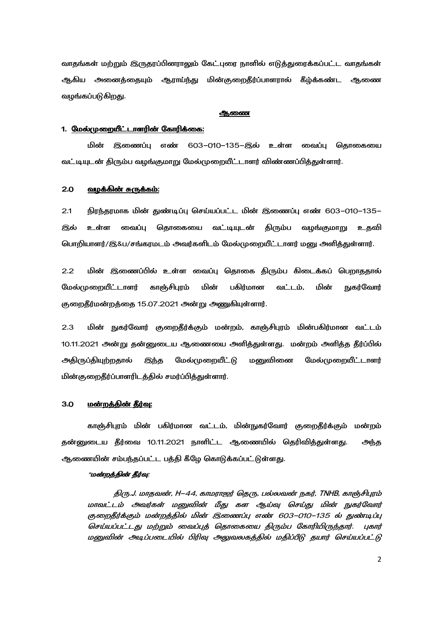வாதங்கள் மற்றும் இருதரப்பினராலும் கேட்புரை நாளில் எடுத்துரைக்கப்பட்ட வாதங்கள் ஆகிய அனைத்தையும் ஆராய்ந்து மின்குறைதீர்ப்பாளரால் கீழ்க்கண்ட ஆணை வழங்கப்படுகிறது.

#### ஆணை

#### 1. <u>மேல்முறையீட்டாளரின் கோரிக்கை:</u>

மின் இணைப்பு எண் 603–010–135–இல் உள்ள வைப்பு தொகையை வட்டியுடன் திரும்ப வழங்குமாறு மேல்முறையீட்டாளர் விண்ணப்பித்துள்ளார்.

### <u>2.0 வழக்கின் சுருக்கம்:</u>

2.1 நிரந்தரமாக மின் துண்டிப்பு செய்யப்பட்ட மின் இணைப்பு எண் 603–010–135– இல் உள்ள வைப்பு தொகையை வட்டியுடன் திரும்ப வழங்குமாறு உதவி பொறியாளர்/இ&ப/சங்கரமடம் அவர்களிடம் மேல்முறையீட்டாளர் மனு அளித்துள்ளார்.

2.2 மின் இணைப்பில் உள்ள வைப்பு தொகை திரும்ப கிடைக்கப் பெறாததால் மேல்முறையீட்டாளர் காஞ்சிபுரம் மின் பகிர்மான வட்டம், மின் **நுகர்வோர்** குறைதீர்மன்றத்தை 15.07.2021 அன்று அணுகியுள்ளார்.

2.3 மின் நுகர்வோர் குறைதீர்க்கும் மன்றம், காஞ்சிபுரம் மின்பகிர்மான வட்டம் 10.11.2021 அன்று தன்னுடைய ஆணையை அளித்துள்ளது. மன்றம் அளித்த தீர்ப்பில் அதிருப்தியுற்றதால் இந்த மேல்முறையீட்டு மனுவினை மேல்முறையீட்டாளர் மின்குறைதீர்ப்பாளரிடத்தில் சமர்ப்பித்துள்ளார்.

#### 3.0 - <u>மன்றத்தின் தீர்வு:</u>

காஞ்சிபுரம் மின் பகிர்மான வட்டம், மின்நுகர்வோர் குறைதீர்க்கும் மன்றம் தன்னுடைய தீர்வை 10.11.2021 நாளிட்ட ஆணையில் தெரிவித்துள்ளது. அந்த ஆணையின் சம்பந்தப்பட்ட பத்தி கீழே கொடுக்கப்பட்டுள்ளது.

#### "மன்றத்தின் தீர்வு:

திரு.J. மாதவன், H–44, காமராஜர் தெரு, பல்லவன் நகர், TNHB, காஞ்சிபுரம் மாவட்டம் அவர்கள் மனுவின் மீது கள ஆய்வு செய்து மின் நுகர்வோர் குறைதீர்க்கும் மன்றத்தில் மின் இணைப்பு எண் 603–010–135 ல் துண்டிப்பு செய்யப்பட்டது மற்றும் வைப்புத் தொகையை திரும்ப கோரியிருந்தார். புகார் மனுவின் அடிப்படையில் பிரிவு அலுவலகத்தில் மதிப்பீடு தயார் செய்யப்பட்டு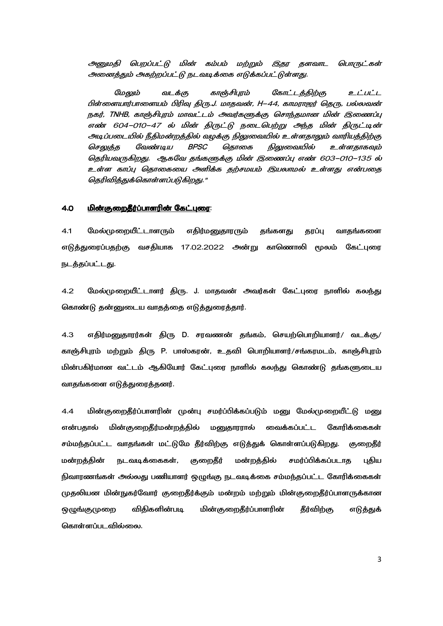அனுமதி பெறப்பட்டு மின் கம்பம் மற்றும் இதர தளவாட பொருட்கள் அனைத்தும் அகற்றப்பட்டு நடவடிக்கை எடுக்கப்பட்டுள்ளது.

மேலும் வடக்கு காஞ்சிபுரம் கோட்டத்திற்கு உட்பட்ட பிள்ளையார்பாளையம் பிரிவு திரு.J. மாதவன், H–44, காமராஜர் தெரு, பல்லவன் நகர், TNHB, காஞ்சிபுரம் மாவட்டம் அவர்களுக்கு சொந்தமான மின் இணைப்பு எண் 604–010–47 ல் மின் திருட்டு நடைபெற்று அந்த மின் திருட்டின் அடிப்படையில் நீதிமன்றத்தில் வழக்கு நிலுவையில் உள்ளதாலும் வாரியத்திற்கு செலுத்த வேண்டிய BPSC தொகை நிலுவையில் உள்ளதாகவும் தெரியவருகிறது. ஆகவே தங்களுக்கு மின் இணைப்பு எண் 603-010-135 ல் உள்ள காப்பு தொகையை அளிக்க தற்சமயம் இயலாமல் உள்ளது என்பதை தெரிவித்துக்கொள்ளப்படுகிறது."

### <u>4.0 மின்குறைதீர்ப்பாளரின் கேட்புரை:</u>

4.1 மேல்முறையீட்டாளரும் எதிர்மனுதாரரும் தங்களது தரப்பு வாதங்களை எடுத்துரைப்பதற்கு வசதியாக 17.02.2022 அன்று காணொலி மூலம் கேட்புரை நடத்தப்பட்டது.

4.2 மேல்முறையீட்டாளர் திரு. J. மாதவன் அவர்கள் கேட்புரை நாளில் கலந்து கொண்டு தன்னுடைய வாதத்தை எடுத்துரைத்தார்.

4.3 "!.R D. M- ?.6, >C=>/ 8T/ காஞ்சிபுரம் மற்றும் திரு P. பாஸ்கரன், உதவி பொறியாளர்/சங்கரமடம், காஞ்சிபுரம் மின்பகிர்மான வட்டம் ஆகியோர் கேட்புரை நாளில் கலந்து கொண்டு தங்களுடைய வாதங்களை எடுத்துரைத்தனர்.

 $\,$  4.4  $\,$  மின்குறைதீர்ப்பாளரின் முன்பு சமர்ப்பிக்கப்படும் மனு மேல்முறையீட்டு மனு என்பதால் மின் குறைதீர்மன்றத்தில் மனுதாரரால் வைக்கப்பட்ட கோரிக்கைகள் சம்மந்தப்பட்ட வாதங்கள் மட்டுமே தீர்விற்கு எடுத்துக் கொள்ளப்படுகிறது. குறைதீர் மன்றத்தின் நடவடிக்கைகள், குறைதீர் மன்றத்தில் சமர்ப்பிக்கப்படாக பகிய நிவாரணங்கள் அல்லது பணியாளர் ஒழுங்கு நடவடிக்கை சம்மந்தப்பட்ட கோரிக்கைகள் முதலியன மின்நுகர்வோர் குறைதீர்க்கும் மன்றம் மற்றும் மின்குறைதீர்ப்பாளருக்கான ஒழுங்குமுறை விதிகளின்படி படி மின்குறைதீர்ப்பாளரின் தீர்விற்கு எடுத்துக் கொள்ளப்பட வில்லை.

3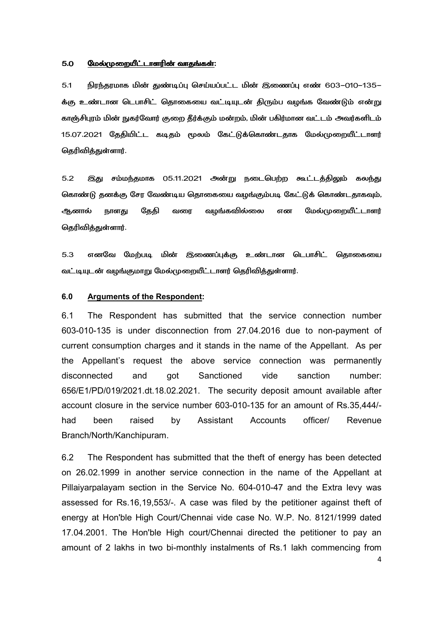#### 5.0 
8\- ?.R ?.R:

5.1 நிரந்தரமாக மின் துண்டிப்பு செய்யப்பட்ட மின் இணைப்பு எண் 603–010–135– க்கு உண்டான டெபாசிட் தொகையை வட்டியுடன் திரும்ப வழங்க வேண்டும் என்று காஞ்சிபுரம் மின் நுகர்வோர் குறை தீர்க்கும் மன்றம், மின் பகிர்மான வட்டம் அவர்களிடம் 15.07.2021 தேதியிட்ட கடிதம் மூலம் கேட்டுக்கொண்டதாக மேல்முறையீட்டாளர் தெரிவித்துள்ளார்.

5.2 இது சம்மந்தமாக 05.11.2021 அன்று நடைபெற்ற கூட்டத்திலும் கலந்து கொண்டு தனக்கு சேர வேண்டிய தொகையை வழங்கும்படி கேட்டுக் கொண்டதாகவும், ஆனால் நாளது தேதி வரை வழங்கவில்லை என மேல்முறையீட்டாளர் தெரிவித்துள்ளார்.

5.3 எனவே மேற்படி மின் இணைப்புக்கு உண்டான டெபாசிட் தொகையை வட்டியுடன் வழங்குமாறு மேல்முறையீட்டாளர் தெரிவித்துள்ளார்.

### **6.0 Arguments of the Respondent:**

6.1 The Respondent has submitted that the service connection number 603-010-135 is under disconnection from 27.04.2016 due to non-payment of current consumption charges and it stands in the name of the Appellant. As per the Appellant's request the above service connection was permanently disconnected and got Sanctioned vide sanction number: 656/E1/PD/019/2021.dt.18.02.2021. The security deposit amount available after account closure in the service number 603-010-135 for an amount of Rs.35,444/ had been raised by Assistant Accounts officer/ Revenue Branch/North/Kanchipuram.

6.2 The Respondent has submitted that the theft of energy has been detected on 26.02.1999 in another service connection in the name of the Appellant at Pillaiyarpalayam section in the Service No. 604-010-47 and the Extra levy was assessed for Rs.16,19,553/-. A case was filed by the petitioner against theft of energy at Hon'ble High Court/Chennai vide case No. W.P. No. 8121/1999 dated 17.04.2001. The Hon'ble High court/Chennai directed the petitioner to pay an amount of 2 lakhs in two bi-monthly instalments of Rs.1 lakh commencing from

4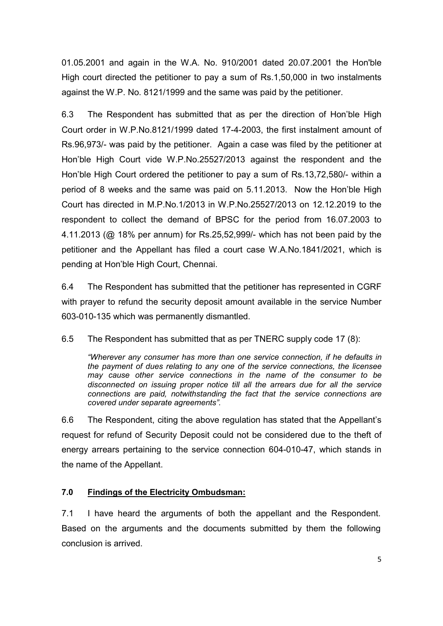01.05.2001 and again in the W.A. No. 910/2001 dated 20.07.2001 the Hon'ble High court directed the petitioner to pay a sum of Rs.1,50,000 in two instalments against the W.P. No. 8121/1999 and the same was paid by the petitioner.

6.3 The Respondent has submitted that as per the direction of Hon'ble High Court order in W.P.No.8121/1999 dated 17-4-2003, the first instalment amount of Rs.96,973/- was paid by the petitioner. Again a case was filed by the petitioner at Hon'ble High Court vide W.P.No.25527/2013 against the respondent and the Hon'ble High Court ordered the petitioner to pay a sum of Rs.13,72,580/- within a period of 8 weeks and the same was paid on 5.11.2013. Now the Hon'ble High Court has directed in M.P.No.1/2013 in W.P.No.25527/2013 on 12.12.2019 to the respondent to collect the demand of BPSC for the period from 16.07.2003 to 4.11.2013 (@ 18% per annum) for Rs.25,52,999/- which has not been paid by the petitioner and the Appellant has filed a court case W.A.No.1841/2021, which is pending at Hon'ble High Court, Chennai.

6.4 The Respondent has submitted that the petitioner has represented in CGRF with prayer to refund the security deposit amount available in the service Number 603-010-135 which was permanently dismantled.

6.5 The Respondent has submitted that as per TNERC supply code 17 (8):

*"Wherever any consumer has more than one service connection, if he defaults in the payment of dues relating to any one of the service connections, the licensee may cause other service connections in the name of the consumer to be disconnected on issuing proper notice till all the arrears due for all the service connections are paid, notwithstanding the fact that the service connections are covered under separate agreements".* 

6.6 The Respondent, citing the above regulation has stated that the Appellant's request for refund of Security Deposit could not be considered due to the theft of energy arrears pertaining to the service connection 604-010-47, which stands in the name of the Appellant.

# **7.0 Findings of the Electricity Ombudsman:**

7.1 I have heard the arguments of both the appellant and the Respondent. Based on the arguments and the documents submitted by them the following conclusion is arrived.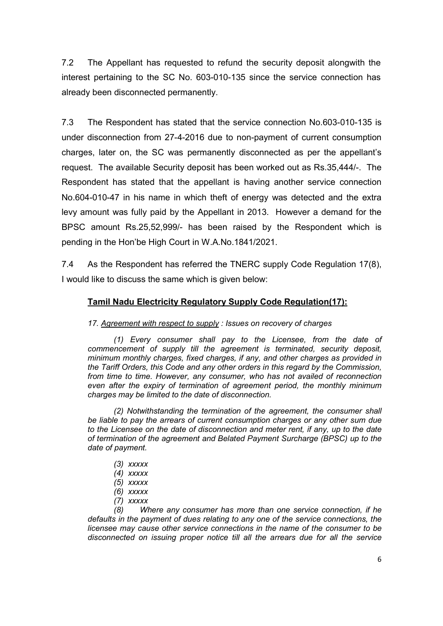7.2 The Appellant has requested to refund the security deposit alongwith the interest pertaining to the SC No. 603-010-135 since the service connection has already been disconnected permanently.

7.3 The Respondent has stated that the service connection No.603-010-135 is under disconnection from 27-4-2016 due to non-payment of current consumption charges, later on, the SC was permanently disconnected as per the appellant's request. The available Security deposit has been worked out as Rs.35,444/-. The Respondent has stated that the appellant is having another service connection No.604-010-47 in his name in which theft of energy was detected and the extra levy amount was fully paid by the Appellant in 2013. However a demand for the BPSC amount Rs.25,52,999/- has been raised by the Respondent which is pending in the Hon'be High Court in W.A.No.1841/2021.

7.4 As the Respondent has referred the TNERC supply Code Regulation 17(8), I would like to discuss the same which is given below:

# **Tamil Nadu Electricity Regulatory Supply Code Regulation(17):**

*17. Agreement with respect to supply : Issues on recovery of charges* 

*(1) Every consumer shall pay to the Licensee, from the date of commencement of supply till the agreement is terminated, security deposit, minimum monthly charges, fixed charges, if any, and other charges as provided in the Tariff Orders, this Code and any other orders in this regard by the Commission, from time to time. However, any consumer, who has not availed of reconnection even after the expiry of termination of agreement period, the monthly minimum charges may be limited to the date of disconnection.* 

*(2) Notwithstanding the termination of the agreement, the consumer shall be liable to pay the arrears of current consumption charges or any other sum due to the Licensee on the date of disconnection and meter rent, if any, up to the date of termination of the agreement and Belated Payment Surcharge (BPSC) up to the date of payment.* 

- *(3) xxxxx*
- *(4) xxxxx*
- *(5) xxxxx*
- *(6) xxxxx*
- *(7) xxxxx*

*(8) Where any consumer has more than one service connection, if he defaults in the payment of dues relating to any one of the service connections, the licensee may cause other service connections in the name of the consumer to be disconnected on issuing proper notice till all the arrears due for all the service*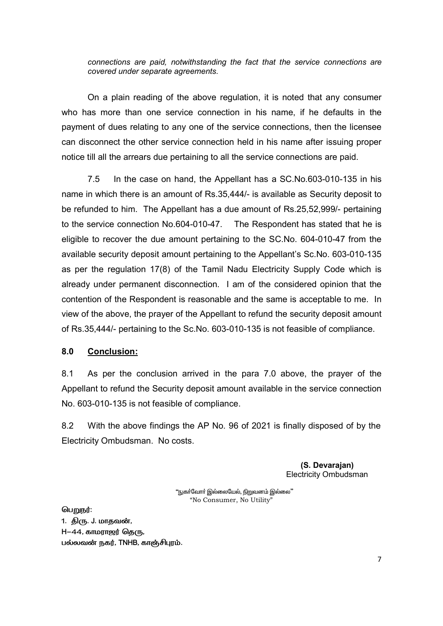*connections are paid, notwithstanding the fact that the service connections are covered under separate agreements.* 

 On a plain reading of the above regulation, it is noted that any consumer who has more than one service connection in his name, if he defaults in the payment of dues relating to any one of the service connections, then the licensee can disconnect the other service connection held in his name after issuing proper notice till all the arrears due pertaining to all the service connections are paid.

 7.5 In the case on hand, the Appellant has a SC.No.603-010-135 in his name in which there is an amount of Rs.35,444/- is available as Security deposit to be refunded to him. The Appellant has a due amount of Rs.25,52,999/- pertaining to the service connection No.604-010-47. The Respondent has stated that he is eligible to recover the due amount pertaining to the SC.No. 604-010-47 from the available security deposit amount pertaining to the Appellant's Sc.No. 603-010-135 as per the regulation 17(8) of the Tamil Nadu Electricity Supply Code which is already under permanent disconnection. I am of the considered opinion that the contention of the Respondent is reasonable and the same is acceptable to me. In view of the above, the prayer of the Appellant to refund the security deposit amount of Rs.35,444/- pertaining to the Sc.No. 603-010-135 is not feasible of compliance.

## **8.0 Conclusion:**

8.1 As per the conclusion arrived in the para 7.0 above, the prayer of the Appellant to refund the Security deposit amount available in the service connection No. 603-010-135 is not feasible of compliance.

8.2 With the above findings the AP No. 96 of 2021 is finally disposed of by the Electricity Ombudsman. No costs.

> **(S. Devarajan)**  Electricity Ombudsman

"நுகா்வோா் இல்லையேல், நிறுவனம் இல்லை" "No Consumer, No Utility"

பெறுநர்: 1. திரு. J. மாதவன்,  $H-44$ , காமராஜர் தெரு, பல்லவன் நகர், TNHB, காஞ்சிபுரம்.